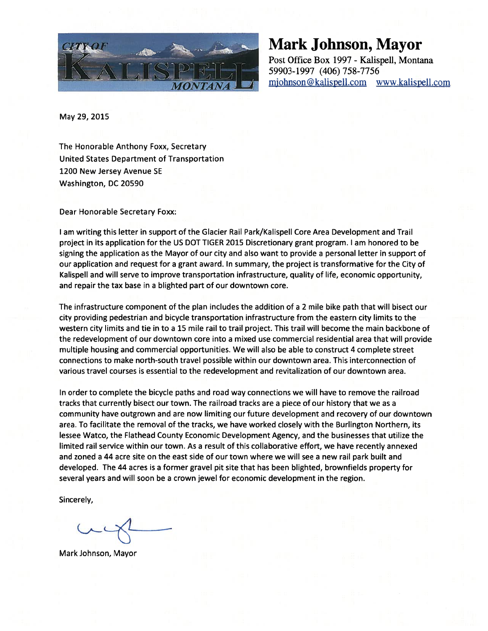

## Mark Johnson, Mayor

Post Office Box 1997 - Kalispell, Montana 59903-1997 (406) 758-7756 mjohnson@kalispell.com www.kalispell.com

May 29, 2015

The Honorable Anthony Foxx, Secretary United States Department of Transportation 1200 New Jersey Avenue SE Washington, DC 20590

Dear Honorable Secretary Foxx:

<sup>I</sup> am writing this letter in support of the Glacier Rail Park/Kalispell Core Area Development and Trail project in its application for the US DOT TIGER 2015 Discretionary grant program. <sup>I</sup> am honored to be signing the application as the Mayor of our city and also want to provide a personal letter in support of our application and request for a grant award. In summary, the project is transformative for the City of Kalispell and will serve to improve transportation infrastructure, quality of life, economic opportunity, and repair the tax base in a blighted part of our downtown core.

The infrastructure component of the plan includes the addition of a <sup>2</sup> mile bike path that will bisect our city providing pedestrian and bicycle transportation infrastructure from the eastern city limits to the western city limits and tie in to a 15 mile rail to trail project. This trail will become the main backbone of the redevelopment of our downtown core into a mixed use commercial residential area that will provide multiple housing and commercial opportunities. We will also be able to construct 4 complete street connections to make north-south travel possible within our downtown area. This interconnection of various travel courses is essential to the redevelopment and revitalization of our downtown area.

In order to complete the bicycle paths and road way connections we will have to remove the railroad tracks that currently bisect our town. The railroad tracks are a piece of our history that we as a community have outgrown and are now limiting our future development and recovery of our downtown area. To facilitate the removal of the tracks, we have worked closely with the Burlington Northern, its lessee Watco, the Flathead County Economic Development Agency, and the businesses that utilize the limited rail service within our town. As a result of this collaborative effort, we have recently annexed and zoned a 44 acre site on the east side of our town where we will see a new rail park built and developed. The 44 acres is a former gravel pit site that has been blighted, brownfields property for several years and will soon be a crown jewel for economic development in the region.

Mark Johnson, Mayor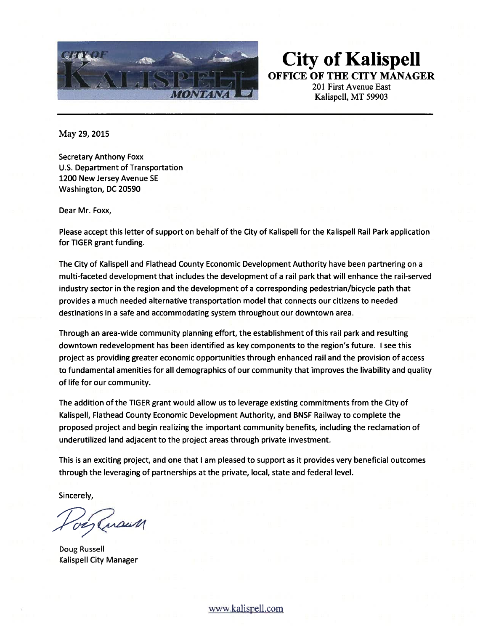

City of Kalispell OFFICE OF THE CITY MANAGER

201 First Avenue East Kalispell, MT 59903

May 29, 2015

Secretary Anthony Foxx U.S. Department of Transportation 1200 New Jersey Avenue SE Washington, DC 20590

Dear Mr. Foxx,

Please accept this letter of support on behalf of the City of Kalispell for the Kalispell Rail Park application for TIGER grant funding.

The City of Kalispell and Flathead County Economic Development Authority have been partnering on a multi-faceted development that includes the development of a rail park that will enhance the rail-served industry sector in the region and the development of a corresponding pedestrian/bicycle path that provides a much needed alternative transportation model that connects our citizens to needed destinations in a safe and accommodating system throughout our downtown area.

Through an area-wide community planning effort, the establishment of this rail park and resulting downtown redevelopment has been identified as key components to the region's future. <sup>I</sup> see this project as providing greater economic opportunities through enhanced rail and the provision of access to fundamental amenities for all demographics of our community that improves the livability and quality of life for our community.

The addition of the TIGER grant would allow us to leverage existing commitments from the City of Kalispell, Flathead County Economic Development Authority, and BNSF Railway to complete the proposed project and begin realizing the important community benefits, including the reclamation of underutilized land adjacent to the project areas through private investment.

This is an exciting project, and one that <sup>I</sup> am pleased to support as it provides very beneficial outcomes through the leveraging of partnerships at the private, local, state and federal level.

Jaraun

Doug Russell Kalispell City Manager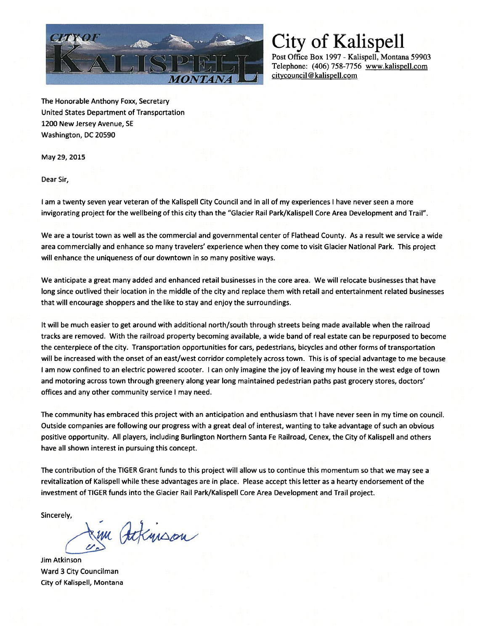

Post Office Box 1997 - Kalispell, Montana 59903 Telephone: (406) 758-7756 www.kalispell.com citycouncil@kalispell.com

The Honorable Anthony Foxx, Secretary United States Department of Transportation 1200 New Jersey Avenue, SE Washington, DC 20590

May 29, 2015

Dear Sir,

<sup>I</sup> am a twenty seven year veteran of the Kalispell City Council and in all of my experiences <sup>I</sup> have never seen a more invigorating project for the wellbeing of this city than the "Glacier Rail Park/Kalispell Core Area Development and Trail".

We are a tourist town as well as the commercial and governmental center of Flathead County. As a result we service a wide area commercially and enhance so many travelers' experience when they come to visit Glacier National Park. This project will enhance the uniqueness of our downtown in so many positive ways.

We anticipate a great many added and enhanced retail businesses in the core area. We will relocate businesses that have long since outlived their location in the middle of the city and replace them with retail and entertainment related businesses that will encourage shoppers and the like to stay and enjoy the surroundings.

It will be much easier to get around with additional north/south through streets being made available when the railroad tracks are removed. With the railroad property becoming available, a wide band of real estate can be repurposed to become the centerpiece of the city. Transportation opportunities for cars, pedestrians, bicycles and other forms of transportation will be increased with the onset of an east/west corridor completely across town. This is of special advantage to me because <sup>I</sup> am now confined to an electric powered scooter. <sup>I</sup> can only imagine the joy of leaving my house in the west edge of town and motoring across town through greenery along year long maintained pedestrian paths past grocery stores, doctors' offices and any other community service <sup>I</sup> may need.

The community has embraced this project with an anticipation and enthusiasm that <sup>I</sup> have never seen in my time on council. Outside companies are following our progress with a great deal of interest, wanting to take advantage of such an obvious positive opportunity. All players, including Burlington Northern Santa Fe Railroad, Cenex, the City of Kalispell and others have all shown interest in pursuing this concept.

The contribution of the TIGER Grant funds to this project will allow us to continue this momentum so that we may see a revitalization of Kalispell while these advantages are in place. Please accept this letter as <sup>a</sup> hearty endorsement of the investment of TIGER funds into the Glacier Rail Park/Kalispell Core Area Development and Trail project.

Jem Ackinson

Jim Atkinson Ward 3 City Councilman City of Kalispell, Montana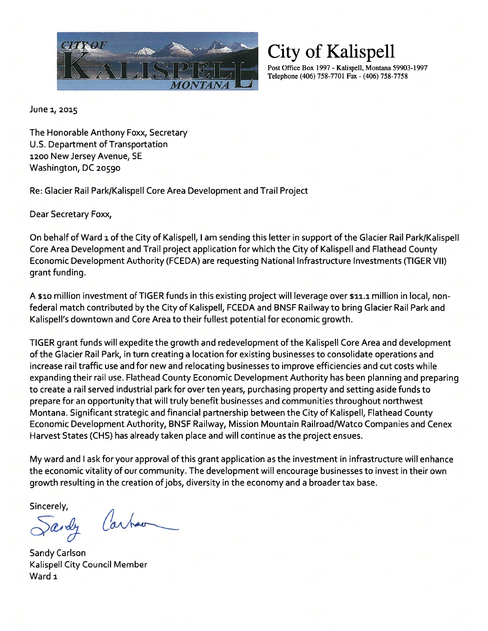

Post Office Box 1997 - Kalispell, Montana 59903-1997 Telephone (406) 758-7701 Fax - (406) 758-7758

June 1, 2015

The Honorable Anthony Foxx, Secretary U.S. Department of Transportation 1200 New Jersey Avenue, SE Washington, DC 20590

Re: Glacier Rail Park/Kalispell Core Area Development and Trail Project

Dear Secretary Foxx,

On behalf of Ward 1 of the City of Kalispell, I am sending this letter in support of the Glacier Rail Park/Kalispell Core Area Development and Trail project application for which the City of Kalispell and Flathead County Economic Development Authority (FCEDA) are requesting National Infrastructure Investments (TIGER VII) grant funding.

A \$10 million investment of TIGER funds in this existing project will leverage over \$11.1 million in local, nonfederal match contributed by the City of Kalispell, FCEDA and BNSF Railway to bring Glacier Rail Park and Kalispell's downtown and Core Area to their fullest potential for economic growth.

TIGER grant funds will expedite the growth and redevelopment of the Kalispell Core Area and development of the Glacier Rail Park, in turn creating a location for existing businesses to consolidate operations and increase rail traffic use and for new and relocating businesses to improve efficiencies and cut costs while expanding their rail use. Flathead County Economic Development Authority has been planning and preparing to create a rail served industrial park for over ten years, purchasing property and setting aside funds to prepare for an opportunity that will truly benefit businesses and communities throughout northwest Montana. Significant strategic and financial partnership between the City of Kalispell, Flathead County Economic Development Authority, BNSF Railway, Mission Mountain Railroad/Watco Companies and Cenex Harvest States (CHS) has already taken place and will continue as the project ensues.

My ward and <sup>I</sup> ask for your approval of this grant application as the investment in infrastructure will enhance the economic vitality of our community. The development will encourage businesses to invest in their own growth resulting in the creation of jobs, diversity in the economy and a broader tax base.

Cart ardy

Sandy Carlson Kalispell City Council Member Ward 1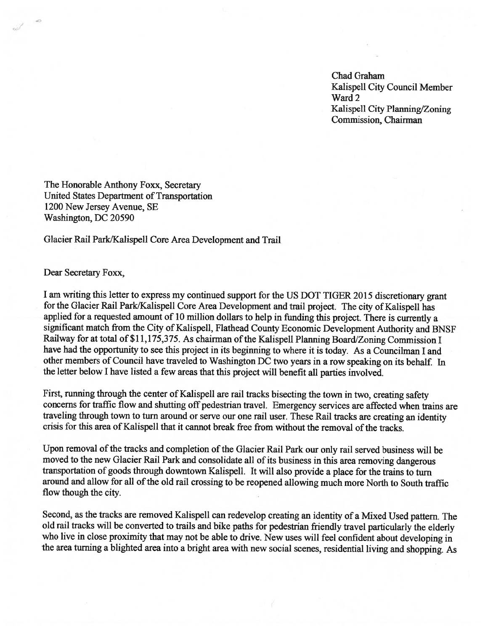Chad Graham Kalispell City Council Member<br>Ward 2 Kalispell City Planning/Zoning Commission, Chairman

The Honorable Anthony Foxx, Secretary United States Department of Transportation 1200 New Jersey Avenue, SE Washington, DC 20590

Glacier Rail Park/Kalispell Core Area Development and Trail

Dear Secretary Foxx,

I am writing this letter to express my continued support for the US DOT TIGER 2015 discretionary grant for the Glacier Rail Park/Kalispell Core Area Development and trail project. The city of Kalispell has applied for a requested amount of <sup>10</sup> million dollars to help in funding this project. There is currently a significant match from the City of Kalispell, Flathead County Economic Development Authority and BNSF Railway for at total of \$11,175,375. As chairman of the Kalispell Planning Board/Zoning Commission I have had the opportunity to see this project in its beginning to where it is today. As a Councilman I and other members of Council have traveled to Washington DC two years in a row speaking on its behalf. In the letter below I have listed a few areas that this project will benefit all parties involved.

First, running through the center of Kalispell are rail tracks bisecting the town in two, creating safety concerns for traffic flow and shutting off pedestrian travel. Emergency services are affected when trains are traveling through town to turn around or serve our one rail user. These Rail tracks are creating an identity crisis for this area of Kalispell that it cannot break free from without the removal of the tracks.

Upon removal of the tracks and completion of the Glacier Rail Park our only rail served business will be moved to the new Glacier Rail Park and consolidate all of its business in this area removing dangerous transportation of goods through downtown Kalispell. It will also provide a place for the trains to turn around and allow for all of the old rail crossing to be reopened allowing much more North to South traffic flow though the city.

Second, as the tracks are removed Kalispell can redevelop creating an identity of a Mixed Used pattern. The old rail tracks will be converted to trails and bike paths for pedestrian friendly travel particularly the elderly who live in close proximity that may not be able to drive. New uses will feel confident about developing in the area turning a blighted area into a bright area with new social scenes, residential living and shopping. As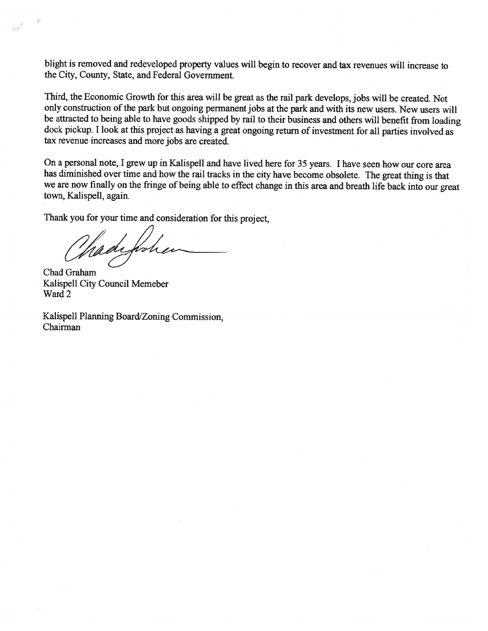blight is removed and redeveloped property values will begin to recover and tax revenues will increase to the City, County, State, and Federal Government.

Third, the Economic Growth for this area will be great as the rail par<sup>k</sup> develops, jobs will be created. Not only construction of the park but ongoing permanent jobs at the park and with its new users. New users will be attracted to being able to have goods shipped by rail to their business and others will benefit from loading dock pickup. I look at this project as having a great ongoing return of investment for all parties involved as tax revenue increases and more jobs are created.

On <sup>a</sup> personal note, <sup>I</sup> grew up in Kalispell and have lived here for <sup>35</sup> years. <sup>I</sup> have seen how our core area has diminished over time and how the rail tracks in the city have become obsolete. The great thing is that we are now finally on the fringe of being able to effect change in this area and breath life back into our great town, Kalispell, again.

Thank you for your time and consideration for this project,

Madeforbe

Chad Graham Kalispell City Council Memeber Ward 2

 $\mathcal{L}$ 

Kalispell Planning Board/Zoning Commission, Chairman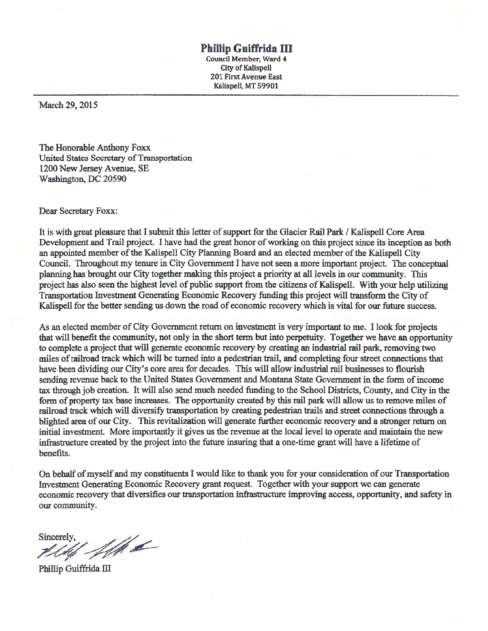#### Phillip Guiffrida Ill

Council Member, Ward 4 City of Kalispell 201 FirstAvenue East Kalispell, MT 59901

March 29, 2015

The Honorable Anthony Foxx United States Secretary of Transportation 1200 New Jersey Avenue, SE Washington, DC 20590

#### Dear Secretary Foxx:

It is with great pleasure that I submit this letter of support for the Glacier Rail Park / Kalispell Core Area Development and Trail project. I have had the great honor of working on this project since its inception as both an appointed member ofthe Kalispell City Planning Board and an elected member ofthe Kalispell City Council. Throughout my tenure in City Government I have not seen a more important project. The conceptual planning has brought our City together making this project a priority at all levels in our community. This project has also seen the highest level of public support from the citizens of Kalispell. With your help utilizing Transportation Investment Generating Economic Recovery funding this project will transform the City of Kalispell for the better sending us down the road of economic recovery which is vital for our future success.

As an elected member of City Government return on investment is very important to me. I look for projects that will benefit the community, not only in the short term but into perpetuity. Together we have an opportunity to complete a project that will generate economic recovery by creating an industrial rail park, removing two miles ofrailroad track which will be turned into a pedestrian trail, and completing four street connections that have been dividing our City's core area for decades. This will allow industrial rail businesses to flourish sending revenue back to the United States Government and Montana State Government in the form of income tax through job creation. It will also send much needed funding to the School Districts, County, and City in the form of property tax base increases. The opportunity created by this rail park will allow us to remove miles of railroad track which will diversify transportation by creating pedestrian trails and street connections through a blighted area of our City. This revitalization will generate further economic recovery and a stronger return on initial investment. More importantly it gives us the revenue at the local level to operate and maintain the new infrastructure created by the project into the future insuring that a one-time grant will have a lifetime of benefits.

On behalf of myself and my constituents I would like to thank you for your consideration of our Transportation Investment Generating Economic Recovery grant request. Together with your support we can generate economic recovery that diversifies our transportation infrastructure improving access, opportunity, and safety in our community.

Sincerely,<br>*Alth Alth L* 

Phillip Guiffrida III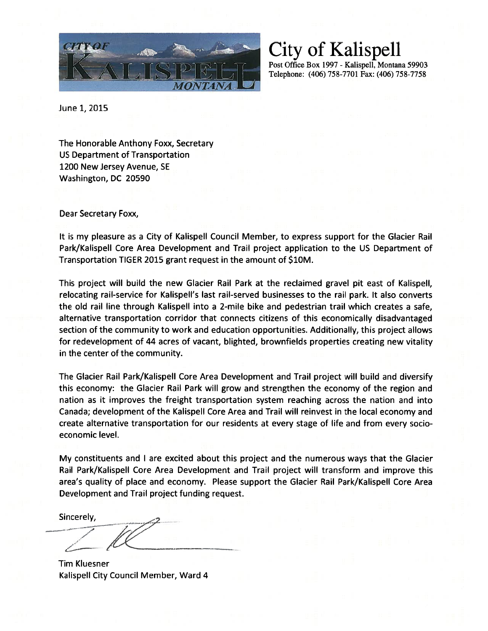

City of Kalispell Post Office Box 1997 - Kalispell, Montana 59903 Telephone: (406) 758-7701 Fax: (406) 758-7758

June 1, 2015

The Honorable Anthony Foxx, Secretary US Department of Transportation 1200 New Jersey Avenue, SE Washington, DC 20590

Dear Secretary Foxx,

It is my pleasure as a City of Kalispell Council Member, to express support for the Glacier Rail Park/Kalispell Core Area Development and Trail project application to the US Department of Transportation TIGER 2015 grant request in the amount of \$1OM.

This project will build the new Glacier Rail Park at the reclaimed gravel pit east of Kalispell, relocating rail-service for Kalispell's last rail-served businesses to the rail park. It also converts the old rail line through Kalispell into a 2-mile bike and pedestrian trail which creates a safe, alternative transportation corridor that connects citizens of this economically disadvantaged section of the community to work and education opportunities. Additionally, this project allows for redevelopment of 44 acres of vacant, blighted, brownfields properties creating new vitality in the center of the community.

The Glacier Rail Park/Kalispell Core Area Development and Trail project will build and diversify this economy: the Glacier Rail Park will grow and strengthen the economy of the region and nation as it improves the freight transportation system reaching across the nation and into Canada; development of the Kalispell Core Area and Trail will reinvest in the local economy and create alternative transportation for our residents at every stage of life and from every socio economic level.

My constituents and <sup>I</sup> are excited about this project and the numerous ways that the Glacier Rail Park/Kalispell Core Area Development and Trail project will transform and improve this area's quality of place and economy. Please support the Glacier Rail Park/Kalispell Core Area Development and Trail project funding request.

Sincerely, The contract project runding

Tim Kluesner Kalispell City Council Member, Ward 4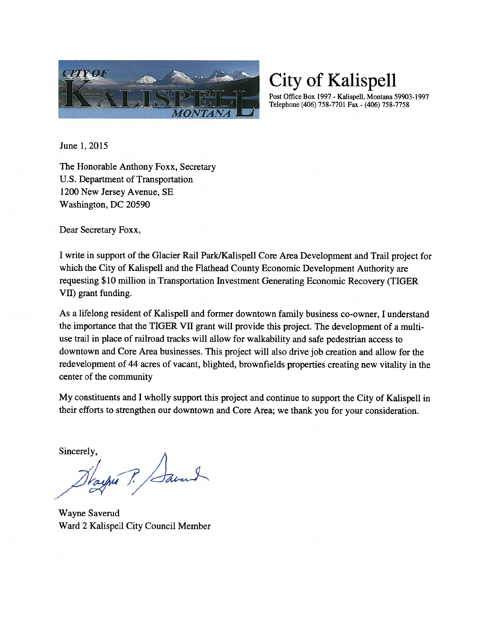

Post Office Box 1997 - Kalispell, Montana 59903-1997 Telephone (406) 758-7701 Fax - (406) 758-7758

June 1, 2015

The Honorable Anthony Foxx, Secretary U.S. Department of Transportation 1200 New Jersey Avenue, SE Washington, DC 20590

Dear Secretary Foxx,

I write in support of the Glacier Rail Park/Kalispell Core Area Development and Trail project for which the City of Kalispell and the Flathead County Economic Development Authority are requesting \$10 million in Transportation Investment Generating Economic Recovery (TIGER VII) grant funding.

As a lifelong resident of Kalispell and former downtown family business co-owner, I understand the importance that the TIGER VII grant will provide this project. The development of a multiuse trail in place of railroad tracks will allow for walkability and safe pedestrian access to downtown and Core Area businesses. This project will also drive job creation and allow for the redevelopment of 44 acres of vacant, blighted, brownfields properties creating new vitality in the center of the community

My constituents and I wholly support this project and continue to support the City of Kalispell in their efforts to strengthen our downtown and Core Area; we thank you for your consideration.

when P. Saver

Wayne Saverud Ward 2 Kalispell City Council Member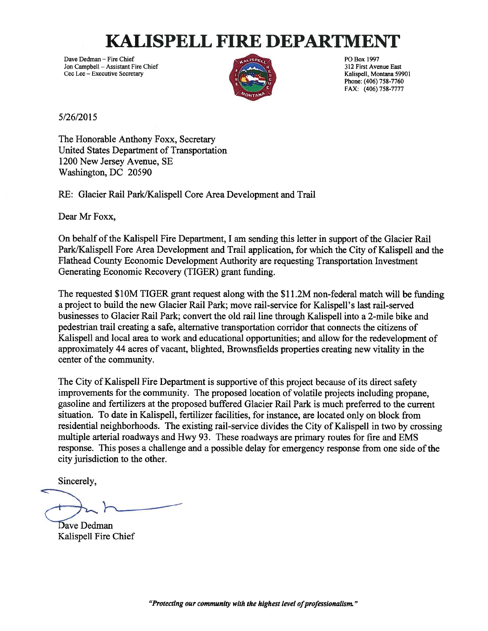## **KALISPELL FIRE DEPARTMEN**

Dave Dedman – Fire Chief Politics Chief Politics and American Chief Politics and Politics and Politics and Politics and Politics and Politics and Politics and Politics and Politics and Politics and Politics and Politics an Jon Campbell – Assistant Fire Chief 312 First Avenue East 312 First Avenue East 312 First Avenue East 312 First Avenue East 312 First Avenue East 312 First Avenue East 312 First Avenue East 312 First Avenue East 312 First Cec Lee - Executive Secretary



Phone: (406) 758-7760 FAX: (406) 758-7777

5/26/2015

The Honorable Anthony Foxx, Secretary United States Department of Transportation 1200 New Jersey Avenue, SE Washington, DC 20590

RE: Glacier Rail Park/Kalispell Core Area Development and Trail

Dear Mr Foxx,

On behalf of the Kalispell Fire Department, I am sending this letter in support of the Glacier Rail Park/Kalispell Fore Area Development and Trail application, for which the City of Kalispell and the Flathead County Economic Development Authority are requesting Transportation Investment Generating Economic Recovery (TIGER) grant funding.

The requested \$1 OM TIGER grant request along with the \$11 .2M non-federal match will be funding a project to build the new Glacier Rail Park; move rail-service for Kalispell's last rail-served businesses to Glacier Rail Park; convert the old rail line through Kalispell into a 2-mile bike and pedestrian trail creating a safe, alternative transportation corridor that connects the citizens of Kalispell and local area to work and educational opportunities; and allow for the redevelopment of approximately 44 acres of vacant, blighted, Brownsfields properties creating new vitality in the center of the community.

The City of Kalispell Fire Department is supportive of this project because of its direct safety improvements for the community. The proposed location of volatile projects including propane, gasoline and fertilizers at the proposed buffered Glacier Rail Park is much preferred to the current situation. To date in Kalispell, fertilizer facilities, for instance, are located only on block from residential neighborhoods. The existing rail-service divides the City of Kalispell in two by crossing multiple arterial roadways and Hwy 93. These roadways are primary routes for fire and EMS response. This poses a challenge and a possible delay for emergency response from one side of the city jurisdiction to the other.

Dave Dedman Kalispell Fire Chief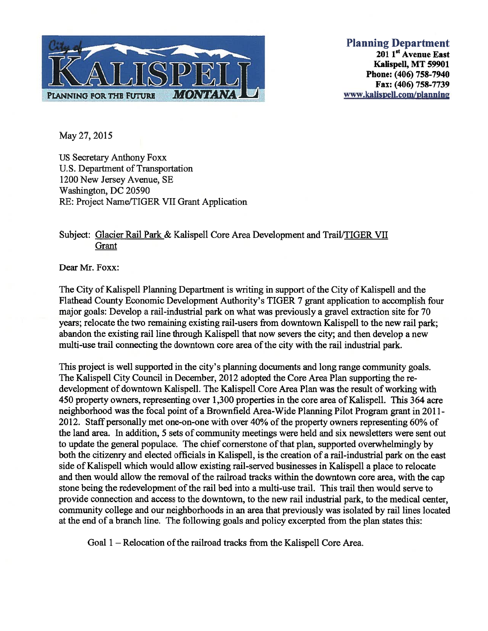

Planning Department  $201$  1<sup>st</sup> Avenue East Kalispell, MT 59901 Phone: (406) 758-7940 Fax: (406) 758-7739 www.kalispell.com/planning

May 27, 2015

US Secretary Anthony Foxx U.S. Department of Transportation 1200 New Jersey Avenue, SE Washington, DC 20590 RE: Project Name/TIGER VII Grant Application

### Subject: Glacier Rail Park & Kalispell Core Area Development and Trail/TIGER VII Grant

Dear Mr. Foxx:

The City of Kalispell Planning Department is writing in support of the City of Kalispell and the Flathead County Economic Development Authority's TIGER 7 grant application to accomplish four major goals: Develop a rail-industrial park on what was previously a gravel extraction site for 70 years; relocate the two remaining existing rail-users from downtown Kalispell to the new rail park; abandon the existing rail line through Kalispell that now severs the city; and then develop a new multi-use trail connecting the downtown core area of the city with the rail industrial park.

This project is well supported in the city's planning documents and long range community goals. The Kalispell City Council in December, 2012 adopted the Core Area Plan supporting the re development of downtown Kalispell. The Kalispell Core Area Plan was the result of working with 450 property owners, representing over 1,300 properties in the core area of Kalispell. This 364 acre neighborhood was the focal point of a Brownfield Area-Wide Planning Pilot Program grant in 2011- 2012. Staff personally met one-on-one with over 40% of the property owners representing 60% of the land area. In addition, 5 sets of community meetings were held and six newsletters were sent out to update the general populace. The chief cornerstone of that plan, supported overwhelmingly by both the citizenry and elected officials in Kalispell, is the creation of a rail-industrial park on the east side of Kalispell which would allow existing rail-served businesses in Kalispell a place to relocate and then would allow the removal of the railroad tracks within the downtown core area, with the cap stone being the redevelopment of the rail bed into a multi-use trail. This trail then would serve to provide connection and access to the downtown, to the new rail industrial park, to the medical center, community college and our neighborhoods in an area that previously was isolated by rail lines located at the end of a branch line. The following goals and policy excerpted from the plan states this:

Goal 1 – Relocation of the railroad tracks from the Kalispell Core Area.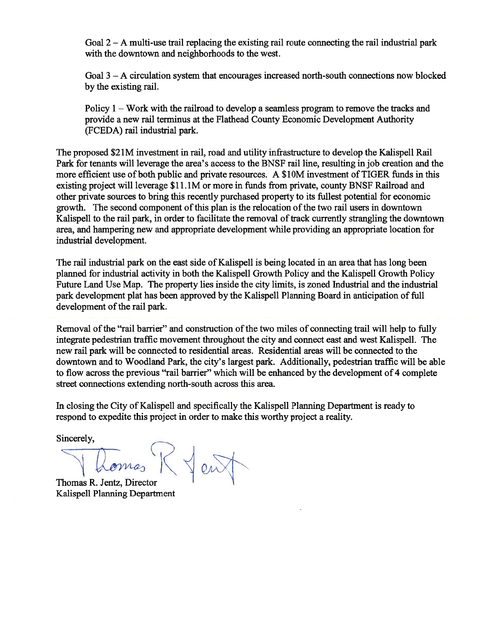Goal  $2 - A$  multi-use trail replacing the existing rail route connecting the rail industrial park with the downtown and neighborhoods to the west.

Goal 3 — A circulation system that encourages increased north-south connections now blocked by the existing rail.

Policy <sup>1</sup> — Work with the railroad to develop a seamless program to remove the tracks and provide a new rail terminus at the Flathead County Economic Development Authority (FCEDA) rail industrial park.

The proposed \$2lM investment in rail, road and utility infrastructure to develop the Kalispell Rail Park for tenants will leverage the area's access to the BNSF rail line, resulting in job creation and the more efficient use of both public and private resources. A \$10M investment of TIGER funds in this existing project will leverage \$11.1M or more in funds from private, county BNSF Railroad and other private sources to bring this recently purchased property to its fullest potential for economic growth. The second component of this plan is the relocation of the two rail users in downtown Kalispell to the rail park, in order to facilitate the removal of track currently strangling the downtown area, and hampering new and appropriate development while providing an appropriate location for industrial development.

The rail industrial park on the east side of Kalispell is being located in an area that has long been planned for industrial activity in both the Kalispell Growth Policy and the Kalispell Growth Policy Future Land Use Map. The property lies inside the city limits, is zoned Industrial and the industrial park development plat has been approved by the Kalispell Planning Board in anticipation of full development of the rail park.

Removal of the "rail barrier" and construction of the two miles of connecting trail will help to fully integrate pedestrian traffic movement throughout the city and connect east and west Kalispell. The new rail park will be connected to residential areas. Residential areas will be connected to the downtown and to Woodland Park, the city's largest park. Additionally, pedestrian traffic will be able to flow across the previous "rail barrier" which will be enhanced by the development of 4 complete street connections extending north-south across this area.

In closing the City of Kalispell and specifically the Kalispell Planning Department is ready to respond to expedite this project in order to make this worthy project a reality.

Domes R Jent

Thomas R. Jentz, Director Kalispell Planning Department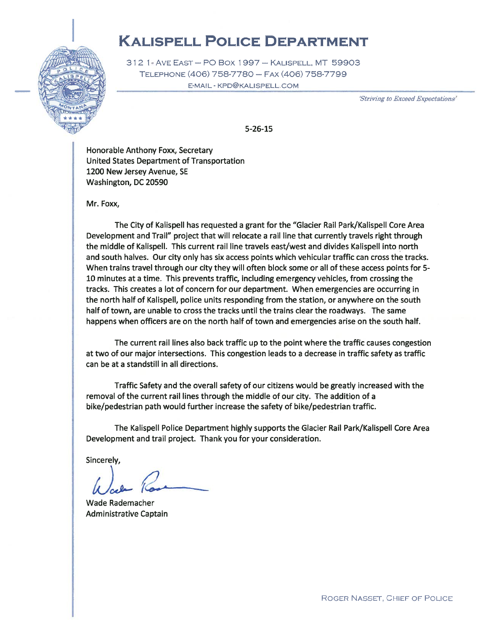### KALIsPELL PoLIcE DEPARTMENT



312 <sup>1</sup> AvE EAST — P0 Box 1997 — KAUSPELL, MT 59903 TELEPHoNE (406)758-7780— FAx (406) 758-7799 E-MAIL - KPD@KALISPELL.COM

Striving to Evceed Expectations'

5-26-15

Honorable Anthony Foxx, Secretary United States Department of Transportation 1200 New Jersey Avenue, SE Washington, DC 20590

Mr. Foxx,

The City of Kalispell has requested a grant for the "Glacier Rail Park/Kalispell Core Area Development and Trail" project that will relocate a rail line that currently travels right through the middle of Kalispell. This current rail line travels east/west and divides Kalispell into north and south halves. Our city only has six access points which vehicular traffic can cross the tracks. When trains travel through our city they will often block some or all of these access points for 5- 10 minutes at a time. This prevents traffic, including emergency vehicles, from crossing the tracks. This creates a lot of concern for our department. When emergencies are occurring in the north half of Kalispell, police units responding from the station, or anywhere on the south half of town, are unable to cross the tracks until the trains clear the roadways. The same happens when officers are on the north half of town and emergencies arise on the south half.

The current rail lines also back traffic up to the point where the traffic causes congestion at two of our major intersections. This congestion leads to a decrease in traffic safety as traffic can be at a standstill in all directions.

Traffic Safety and the overall safety of our citizens would be greatly increased with the removal of the current rail lines through the middle of our city. The addition of a bike/pedestrian path would further increase the safety of bike/pedestrian traffic.

The Kalispell Police Department highly supports the Glacier Rail Park/Kalispell Core Area Development and trail project. Thank you for your consideration.

t{Jc leur<br>her

Wade Rademacher Administrative Captain